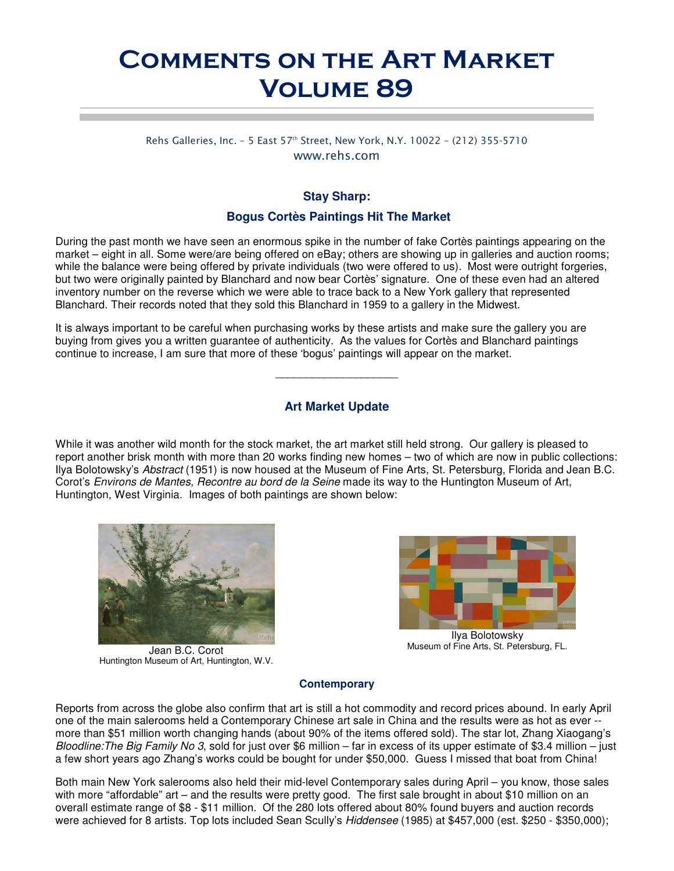# Comments on the Art Market Volume 89

Rehs Galleries, Inc. - 5 East 57<sup>th</sup> Street, New York, N.Y. 10022 - (212) 355-5710 www.rehs.com

# **Stay Sharp:**

#### **Bogus Cortès Paintings Hit The Market**

During the past month we have seen an enormous spike in the number of fake Cortès paintings appearing on the market – eight in all. Some were/are being offered on eBay; others are showing up in galleries and auction rooms; while the balance were being offered by private individuals (two were offered to us). Most were outright forgeries, but two were originally painted by Blanchard and now bear Cortès' signature. One of these even had an altered inventory number on the reverse which we were able to trace back to a New York gallery that represented Blanchard. Their records noted that they sold this Blanchard in 1959 to a gallery in the Midwest.

It is always important to be careful when purchasing works by these artists and make sure the gallery you are buying from gives you a written guarantee of authenticity. As the values for Cortès and Blanchard paintings continue to increase, I am sure that more of these 'bogus' paintings will appear on the market.

### **Art Market Update**

 $\overline{\phantom{a}}$  , and the set of the set of the set of the set of the set of the set of the set of the set of the set of the set of the set of the set of the set of the set of the set of the set of the set of the set of the s

While it was another wild month for the stock market, the art market still held strong. Our gallery is pleased to report another brisk month with more than 20 works finding new homes – two of which are now in public collections: Ilya Bolotowsky's Abstract (1951) is now housed at the Museum of Fine Arts, St. Petersburg, Florida and Jean B.C. Corot's Environs de Mantes, Recontre au bord de la Seine made its way to the Huntington Museum of Art, Huntington, West Virginia. Images of both paintings are shown below:



Jean B.C. Corot Huntington Museum of Art, Huntington, W.V.



Ilya Bolotowsky Museum of Fine Arts, St. Petersburg, FL.

#### **Contemporary**

Reports from across the globe also confirm that art is still a hot commodity and record prices abound. In early April one of the main salerooms held a Contemporary Chinese art sale in China and the results were as hot as ever - more than \$51 million worth changing hands (about 90% of the items offered sold). The star lot, Zhang Xiaogang's Bloodline: The Big Family No 3, sold for just over \$6 million – far in excess of its upper estimate of \$3.4 million – just a few short years ago Zhang's works could be bought for under \$50,000. Guess I missed that boat from China!

Both main New York salerooms also held their mid-level Contemporary sales during April – you know, those sales with more "affordable" art – and the results were pretty good. The first sale brought in about \$10 million on an overall estimate range of \$8 - \$11 million. Of the 280 lots offered about 80% found buyers and auction records were achieved for 8 artists. Top lots included Sean Scully's Hiddensee (1985) at \$457,000 (est. \$250 - \$350,000);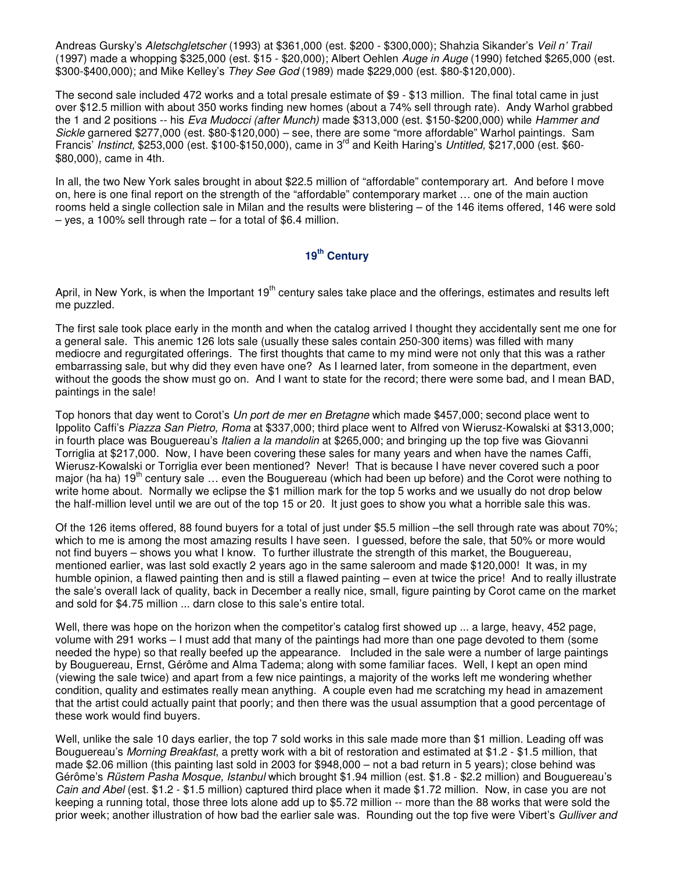Andreas Gursky's Aletschgletscher (1993) at \$361,000 (est. \$200 - \$300,000); Shahzia Sikander's Veil n' Trail (1997) made a whopping \$325,000 (est. \$15 - \$20,000); Albert Oehlen Auge in Auge (1990) fetched \$265,000 (est. \$300-\$400,000); and Mike Kelley's They See God (1989) made \$229,000 (est. \$80-\$120,000).

The second sale included 472 works and a total presale estimate of \$9 - \$13 million. The final total came in just over \$12.5 million with about 350 works finding new homes (about a 74% sell through rate). Andy Warhol grabbed the 1 and 2 positions -- his Eva Mudocci (after Munch) made \$313,000 (est. \$150-\$200,000) while Hammer and Sickle garnered \$277,000 (est. \$80-\$120,000) – see, there are some "more affordable" Warhol paintings. Sam Francis' Instinct, \$253,000 (est. \$100-\$150,000), came in 3<sup>rd</sup> and Keith Haring's Untitled, \$217,000 (est. \$60-\$80,000), came in 4th.

In all, the two New York sales brought in about \$22.5 million of "affordable" contemporary art. And before I move on, here is one final report on the strength of the "affordable" contemporary market … one of the main auction rooms held a single collection sale in Milan and the results were blistering – of the 146 items offered, 146 were sold – yes, a 100% sell through rate – for a total of \$6.4 million.

# **19th Century**

April, in New York, is when the Important 19<sup>th</sup> century sales take place and the offerings, estimates and results left me puzzled.

The first sale took place early in the month and when the catalog arrived I thought they accidentally sent me one for a general sale. This anemic 126 lots sale (usually these sales contain 250-300 items) was filled with many mediocre and regurgitated offerings. The first thoughts that came to my mind were not only that this was a rather embarrassing sale, but why did they even have one? As I learned later, from someone in the department, even without the goods the show must go on. And I want to state for the record; there were some bad, and I mean BAD, paintings in the sale!

Top honors that day went to Corot's Un port de mer en Bretagne which made \$457,000; second place went to Ippolito Caffi's Piazza San Pietro, Roma at \$337,000; third place went to Alfred von Wierusz-Kowalski at \$313,000; in fourth place was Bouguereau's *Italien a la mandolin* at \$265,000; and bringing up the top five was Giovanni Torriglia at \$217,000. Now, I have been covering these sales for many years and when have the names Caffi, Wierusz-Kowalski or Torriglia ever been mentioned? Never! That is because I have never covered such a poor major (ha ha) 19<sup>th</sup> century sale ... even the Bouguereau (which had been up before) and the Corot were nothing to write home about. Normally we eclipse the \$1 million mark for the top 5 works and we usually do not drop below the half-million level until we are out of the top 15 or 20. It just goes to show you what a horrible sale this was.

Of the 126 items offered, 88 found buyers for a total of just under \$5.5 million –the sell through rate was about 70%; which to me is among the most amazing results I have seen. I guessed, before the sale, that 50% or more would not find buyers – shows you what I know. To further illustrate the strength of this market, the Bouguereau, mentioned earlier, was last sold exactly 2 years ago in the same saleroom and made \$120,000! It was, in my humble opinion, a flawed painting then and is still a flawed painting – even at twice the price! And to really illustrate the sale's overall lack of quality, back in December a really nice, small, figure painting by Corot came on the market and sold for \$4.75 million ... darn close to this sale's entire total.

Well, there was hope on the horizon when the competitor's catalog first showed up ... a large, heavy, 452 page, volume with 291 works – I must add that many of the paintings had more than one page devoted to them (some needed the hype) so that really beefed up the appearance. Included in the sale were a number of large paintings by Bouguereau, Ernst, Gérôme and Alma Tadema; along with some familiar faces. Well, I kept an open mind (viewing the sale twice) and apart from a few nice paintings, a majority of the works left me wondering whether condition, quality and estimates really mean anything. A couple even had me scratching my head in amazement that the artist could actually paint that poorly; and then there was the usual assumption that a good percentage of these work would find buyers.

Well, unlike the sale 10 days earlier, the top 7 sold works in this sale made more than \$1 million. Leading off was Bouguereau's Morning Breakfast, a pretty work with a bit of restoration and estimated at \$1.2 - \$1.5 million, that made \$2.06 million (this painting last sold in 2003 for \$948,000 – not a bad return in 5 years); close behind was Gérôme's Rüstem Pasha Mosque, Istanbul which brought \$1.94 million (est. \$1.8 - \$2.2 million) and Bouguereau's Cain and Abel (est. \$1.2 - \$1.5 million) captured third place when it made \$1.72 million. Now, in case you are not keeping a running total, those three lots alone add up to \$5.72 million -- more than the 88 works that were sold the prior week; another illustration of how bad the earlier sale was. Rounding out the top five were Vibert's Gulliver and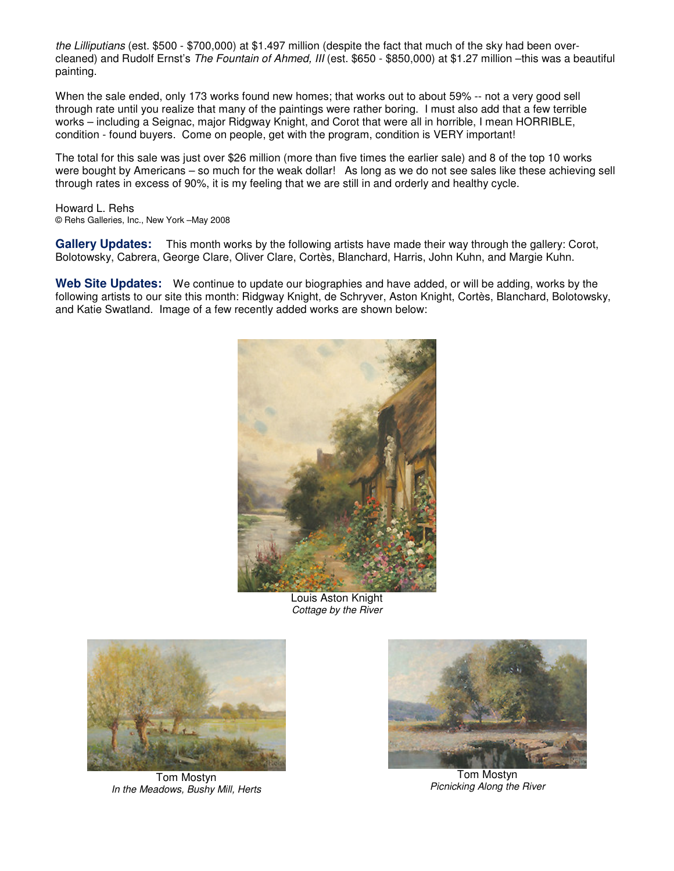the Lilliputians (est. \$500 - \$700,000) at \$1.497 million (despite the fact that much of the sky had been overcleaned) and Rudolf Ernst's The Fountain of Ahmed, III (est. \$650 - \$850,000) at \$1.27 million -this was a beautiful painting.

When the sale ended, only 173 works found new homes; that works out to about 59% -- not a very good sell through rate until you realize that many of the paintings were rather boring. I must also add that a few terrible works – including a Seignac, major Ridgway Knight, and Corot that were all in horrible, I mean HORRIBLE, condition - found buyers. Come on people, get with the program, condition is VERY important!

The total for this sale was just over \$26 million (more than five times the earlier sale) and 8 of the top 10 works were bought by Americans – so much for the weak dollar! As long as we do not see sales like these achieving sell through rates in excess of 90%, it is my feeling that we are still in and orderly and healthy cycle.

Howard L. Rehs © Rehs Galleries, Inc., New York –May 2008

**Gallery Updates:** This month works by the following artists have made their way through the gallery: Corot, Bolotowsky, Cabrera, George Clare, Oliver Clare, Cortès, Blanchard, Harris, John Kuhn, and Margie Kuhn.

**Web Site Updates:** We continue to update our biographies and have added, or will be adding, works by the following artists to our site this month: Ridgway Knight, de Schryver, Aston Knight, Cortès, Blanchard, Bolotowsky, and Katie Swatland. Image of a few recently added works are shown below:



Louis Aston Knight Cottage by the River



Tom Mostyn In the Meadows, Bushy Mill, Herts



Tom Mostyn Picnicking Along the River